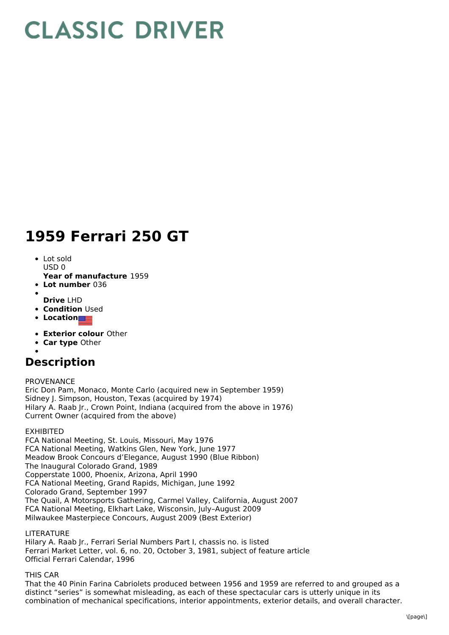# **CLASSIC DRIVER**

## **1959 Ferrari 250 GT**

- Lot sold USD 0
- **Year of manufacture** 1959
- **Lot number** 036
- **Drive** LHD
- **Condition Used**
- **Location**
- **Exterior colour** Other
- **Car type** Other
- 

## **Description**

PROVENANCE

Eric Don Pam, Monaco, Monte Carlo (acquired new in September 1959) Sidney J. Simpson, Houston, Texas (acquired by 1974) Hilary A. Raab Jr., Crown Point, Indiana (acquired from the above in 1976) Current Owner (acquired from the above)

### EXHIBITED

FCA National Meeting, St. Louis, Missouri, May 1976 FCA National Meeting, Watkins Glen, New York, June 1977 Meadow Brook Concours d'Elegance, August 1990 (Blue Ribbon) The Inaugural Colorado Grand, 1989 Copperstate 1000, Phoenix, Arizona, April 1990 FCA National Meeting, Grand Rapids, Michigan, June 1992 Colorado Grand, September 1997 The Quail, A Motorsports Gathering, Carmel Valley, California, August 2007 FCA National Meeting, Elkhart Lake, Wisconsin, July–August 2009 Milwaukee Masterpiece Concours, August 2009 (Best Exterior)

### LITERATURE

Hilary A. Raab Jr., Ferrari Serial Numbers Part I, chassis no. is listed Ferrari Market Letter, vol. 6, no. 20, October 3, 1981, subject of feature article Official Ferrari Calendar, 1996

THIS CAR

That the 40 Pinin Farina Cabriolets produced between 1956 and 1959 are referred to and grouped as a distinct "series" is somewhat misleading, as each of these spectacular cars is utterly unique in its combination of mechanical specifications, interior appointments, exterior details, and overall character.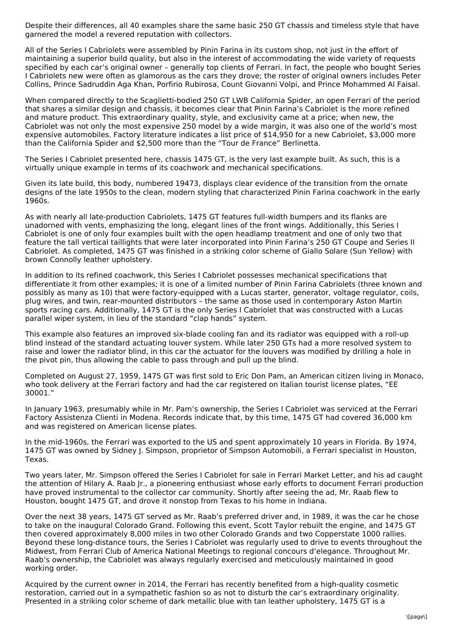Despite their differences, all 40 examples share the same basic 250 GT chassis and timeless style that have garnered the model a revered reputation with collectors.

All of the Series I Cabriolets were assembled by Pinin Farina in its custom shop, not just in the effort of maintaining a superior build quality, but also in the interest of accommodating the wide variety of requests specified by each car's original owner – generally top clients of Ferrari. In fact, the people who bought Series I Cabriolets new were often as glamorous as the cars they drove; the roster of original owners includes Peter Collins, Prince Sadruddin Aga Khan, Porfirio Rubirosa, Count Giovanni Volpi, and Prince Mohammed Al Faisal.

When compared directly to the Scaglietti-bodied 250 GT LWB California Spider, an open Ferrari of the period that shares a similar design and chassis, it becomes clear that Pinin Farina's Cabriolet is the more refined and mature product. This extraordinary quality, style, and exclusivity came at a price; when new, the Cabriolet was not only the most expensive 250 model by a wide margin, it was also one of the world's most expensive automobiles. Factory literature indicates a list price of \$14,950 for a new Cabriolet, \$3,000 more than the California Spider and \$2,500 more than the "Tour de France" Berlinetta.

The Series I Cabriolet presented here, chassis 1475 GT, is the very last example built. As such, this is a virtually unique example in terms of its coachwork and mechanical specifications.

Given its late build, this body, numbered 19473, displays clear evidence of the transition from the ornate designs of the late 1950s to the clean, modern styling that characterized Pinin Farina coachwork in the early 1960s.

As with nearly all late-production Cabriolets, 1475 GT features full-width bumpers and its flanks are unadorned with vents, emphasizing the long, elegant lines of the front wings. Additionally, this Series I Cabriolet is one of only four examples built with the open headlamp treatment and one of only two that feature the tall vertical taillights that were later incorporated into Pinin Farina's 250 GT Coupe and Series II Cabriolet. As completed, 1475 GT was finished in a striking color scheme of Giallo Solare (Sun Yellow) with brown Connolly leather upholstery.

In addition to its refined coachwork, this Series I Cabriolet possesses mechanical specifications that differentiate it from other examples; it is one of a limited number of Pinin Farina Cabriolets (three known and possibly as many as 10) that were factory-equipped with a Lucas starter, generator, voltage regulator, coils, plug wires, and twin, rear-mounted distributors – the same as those used in contemporary Aston Martin sports racing cars. Additionally, 1475 GT is the only Series I Cabriolet that was constructed with a Lucas parallel wiper system, in lieu of the standard "clap hands" system.

This example also features an improved six-blade cooling fan and its radiator was equipped with a roll-up blind instead of the standard actuating louver system. While later 250 GTs had a more resolved system to raise and lower the radiator blind, in this car the actuator for the louvers was modified by drilling a hole in the pivot pin, thus allowing the cable to pass through and pull up the blind.

Completed on August 27, 1959, 1475 GT was first sold to Eric Don Pam, an American citizen living in Monaco, who took delivery at the Ferrari factory and had the car registered on Italian tourist license plates, "EE 30001."

In January 1963, presumably while in Mr. Pam's ownership, the Series I Cabriolet was serviced at the Ferrari Factory Assistenza Clienti in Modena. Records indicate that, by this time, 1475 GT had covered 36,000 km and was registered on American license plates.

In the mid-1960s, the Ferrari was exported to the US and spent approximately 10 years in Florida. By 1974, 1475 GT was owned by Sidney J. Simpson, proprietor of Simpson Automobili, a Ferrari specialist in Houston, Texas.

Two years later, Mr. Simpson offered the Series I Cabriolet for sale in Ferrari Market Letter, and his ad caught the attention of Hilary A. Raab Jr., a pioneering enthusiast whose early efforts to document Ferrari production have proved instrumental to the collector car community. Shortly after seeing the ad, Mr. Raab flew to Houston, bought 1475 GT, and drove it nonstop from Texas to his home in Indiana.

Over the next 38 years, 1475 GT served as Mr. Raab's preferred driver and, in 1989, it was the car he chose to take on the inaugural Colorado Grand. Following this event, Scott Taylor rebuilt the engine, and 1475 GT then covered approximately 8,000 miles in two other Colorado Grands and two Copperstate 1000 rallies. Beyond these long-distance tours, the Series I Cabriolet was regularly used to drive to events throughout the Midwest, from Ferrari Club of America National Meetings to regional concours d'elegance. Throughout Mr. Raab's ownership, the Cabriolet was always regularly exercised and meticulously maintained in good working order.

Acquired by the current owner in 2014, the Ferrari has recently benefited from a high-quality cosmetic restoration, carried out in a sympathetic fashion so as not to disturb the car's extraordinary originality. Presented in a striking color scheme of dark metallic blue with tan leather upholstery, 1475 GT is a